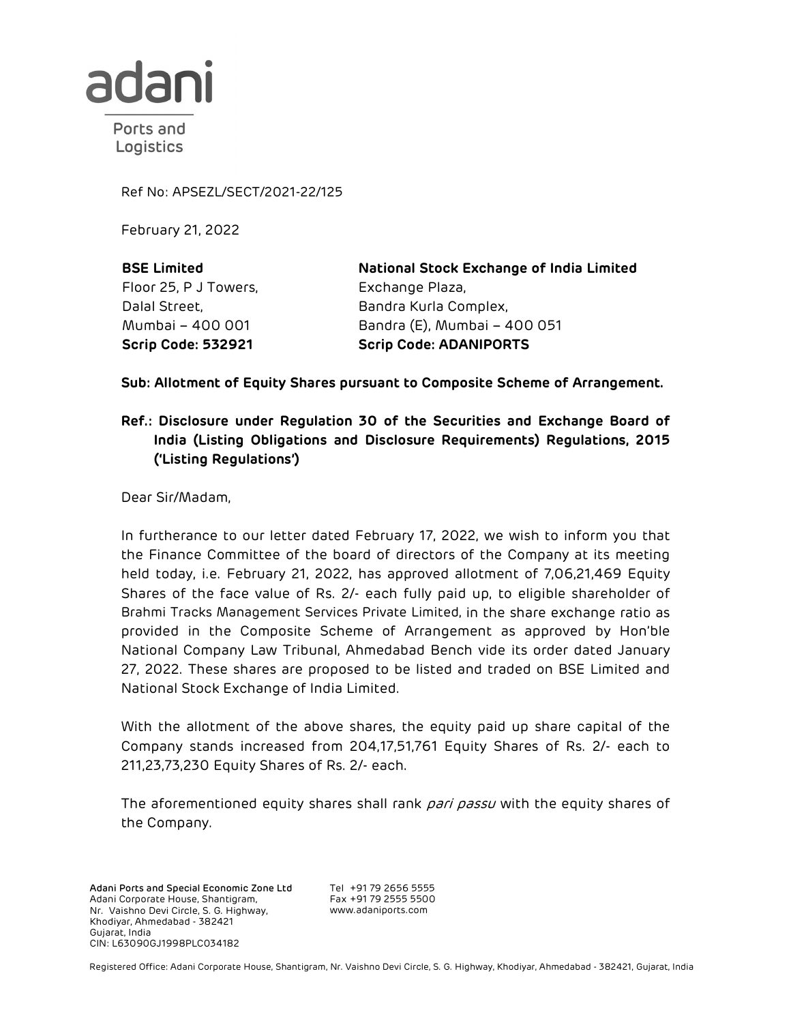

Ports and Logistics

Ref No: APSEZL/SECT/2021-22/125

February 21, 2022

BSE Limited Floor 25, P J Towers, Dalal Street, Mumbai – 400 001

National Stock Exchange of India Limited Exchange Plaza, Bandra Kurla Complex, Bandra (E), Mumbai – 400 051 Scrip Code: 532921 Scrip Code: ADANIPORTS

Sub: Allotment of Equity Shares pursuant to Composite Scheme of Arrangement.

## Ref.: Disclosure under Regulation 30 of the Securities and Exchange Board of India (Listing Obligations and Disclosure Requirements) Regulations, 2015 ('Listing Regulations')

Dear Sir/Madam,

In furtherance to our letter dated February 17, 2022, we wish to inform you that the Finance Committee of the board of directors of the Company at its meeting held today, i.e. February 21, 2022, has approved allotment of 7,06,21,469 Equity Shares of the face value of Rs. 2/- each fully paid up, to eligible shareholder of Brahmi Tracks Management Services Private Limited, in the share exchange ratio as provided in the Composite Scheme of Arrangement as approved by Hon'ble National Company Law Tribunal, Ahmedabad Bench vide its order dated January 27, 2022. These shares are proposed to be listed and traded on BSE Limited and National Stock Exchange of India Limited.

With the allotment of the above shares, the equity paid up share capital of the Company stands increased from 204,17,51,761 Equity Shares of Rs. 2/- each to 211,23,73,230 Equity Shares of Rs. 2/- each.

The aforementioned equity shares shall rank pari passu with the equity shares of the Company.

Adani Ports and Special Economic Zone Ltd Adani Corporate House, Shantigram, Nr. Vaishno Devi Circle, S. G. Highway, Khodiyar, Ahmedabad - 382421 Gujarat, India CIN: L63090GJ1998PLC034182

Tel +91 79 2656 5555<br>Fax +01 70 000 Fax +91 79 2555 5500 www.adaniports.com